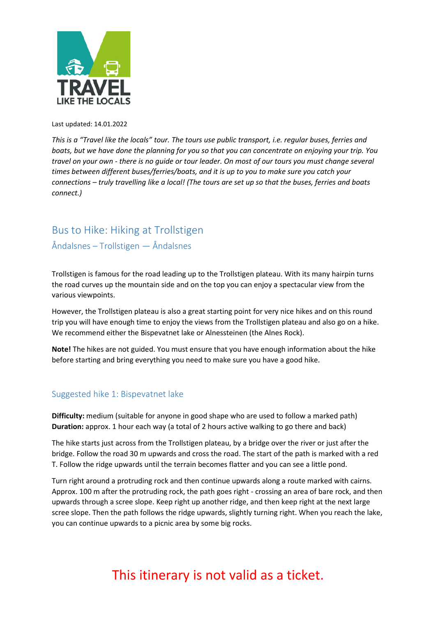

Last updated: 14.01.2022

*This is a "Travel like the locals" tour. The tours use public transport, i.e. regular buses, ferries and boats, but we have done the planning for you so that you can concentrate on enjoying your trip. You travel on your own - there is no guide or tour leader. On most of our tours you must change several times between different buses/ferries/boats, and it is up to you to make sure you catch your connections – truly travelling like a local! (The tours are set up so that the buses, ferries and boats connect.)*

### Bus to Hike: Hiking at Trollstigen Åndalsnes – Trollstigen — Åndalsnes

Trollstigen is famous for the road leading up to the Trollstigen plateau. With its many hairpin turns the road curves up the mountain side and on the top you can enjoy a spectacular view from the various viewpoints.

However, the Trollstigen plateau is also a great starting point for very nice hikes and on this round trip you will have enough time to enjoy the views from the Trollstigen plateau and also go on a hike. We recommend either the Bispevatnet lake or Alnessteinen (the Alnes Rock).

**Note!** The hikes are not guided. You must ensure that you have enough information about the hike before starting and bring everything you need to make sure you have a good hike.

### Suggested hike 1: Bispevatnet lake

**Difficulty:** medium (suitable for anyone in good shape who are used to follow a marked path) **Duration:** approx. 1 hour each way (a total of 2 hours active walking to go there and back)

The hike starts just across from the Trollstigen plateau, by a bridge over the river or just after the bridge. Follow the road 30 m upwards and cross the road. The start of the path is marked with a red T. Follow the ridge upwards until the terrain becomes flatter and you can see a little pond.

Turn right around a protruding rock and then continue upwards along a route marked with cairns. Approx. 100 m after the protruding rock, the path goes right - crossing an area of bare rock, and then upwards through a scree slope. Keep right up another ridge, and then keep right at the next large scree slope. Then the path follows the ridge upwards, slightly turning right. When you reach the lake, you can continue upwards to a picnic area by some big rocks.

# This itinerary is not valid as a ticket.